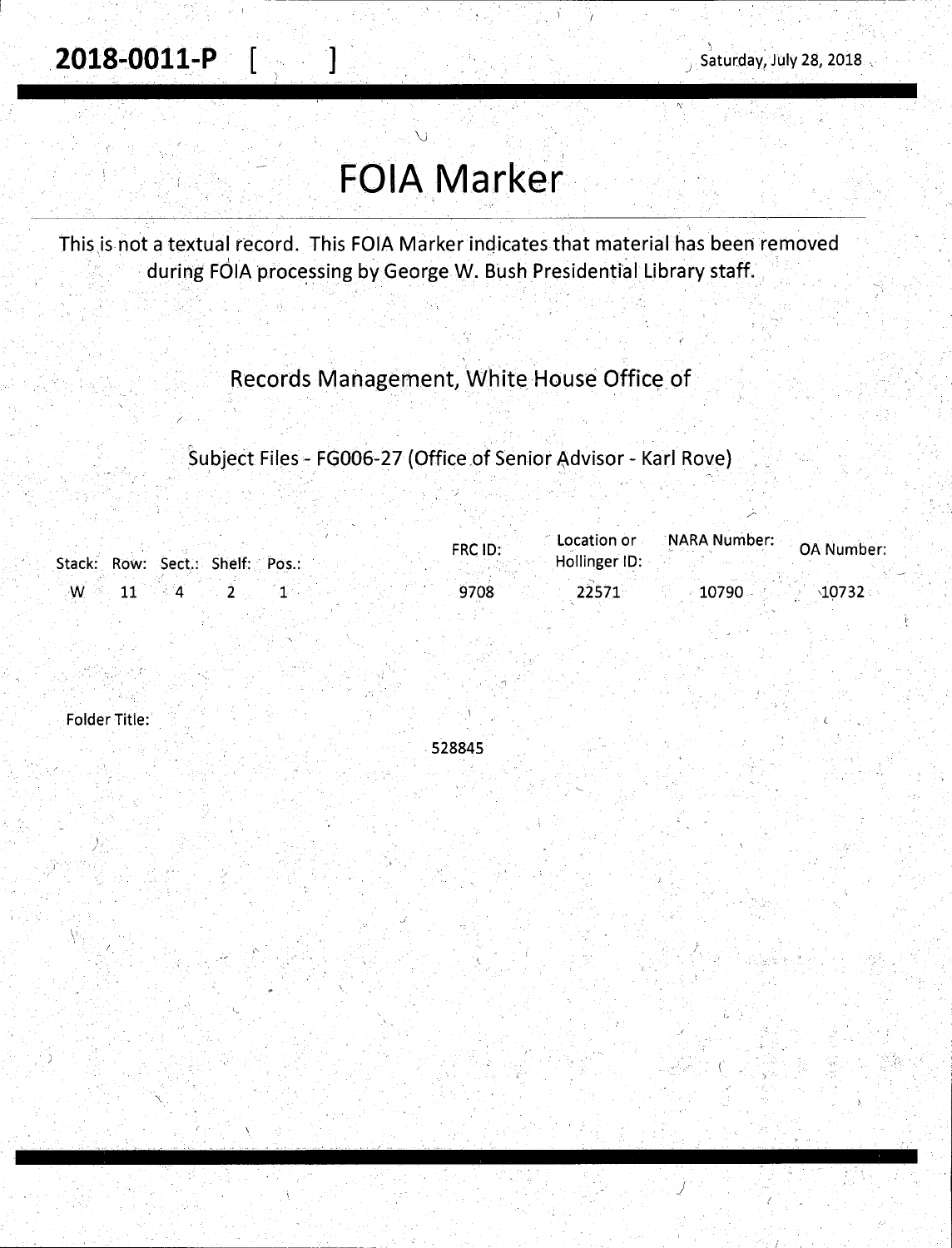2018-0011-P | |

/'

*J* 

# **FOIA Marker**

 $\bigcup$ 

This is not a textual record. This FOIA Marker indicates that material has been removed during FOIA processing by George W. Bush Presidential Library staff.

Records Management, White House Office of

Subject Files - FG006-27 (Office of Senior Advisor - Karl Rove)

|    |                                 | <b>FRC ID:</b> | Location or   | on or NARA Number: OA Number: |                   |
|----|---------------------------------|----------------|---------------|-------------------------------|-------------------|
|    | Stack: Row: Sect.: Shelf: Pos.: |                | Hollinger ID: |                               |                   |
| ٠W |                                 | 9708           | 22571         | 10790                         | $\lambda$ 10732 : |

-1 .

Folder Title:

-528845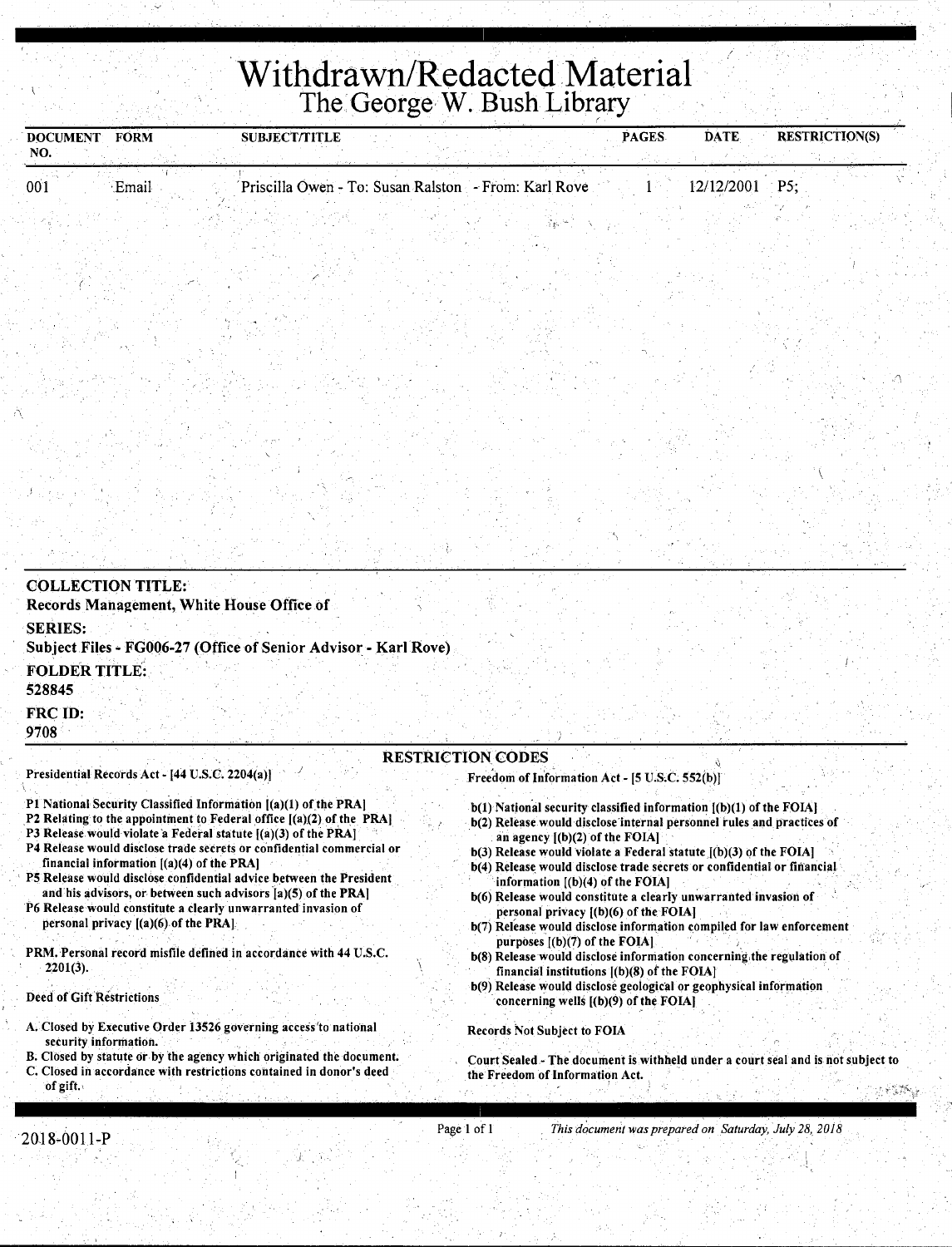## **·Withdrawn/Redacted Material**  The George W. Bush Library

| NO.                                                                 | <b>DOCUMENT FORM</b>                                                                                                                        | <b>SUBJECT/TITLE</b> |  |                                                      |                                               | PAGES | <b>DATE</b>                                                                                                                                 | <b>RESTRICTION(S)</b>                                                            |
|---------------------------------------------------------------------|---------------------------------------------------------------------------------------------------------------------------------------------|----------------------|--|------------------------------------------------------|-----------------------------------------------|-------|---------------------------------------------------------------------------------------------------------------------------------------------|----------------------------------------------------------------------------------|
| 001                                                                 | Email                                                                                                                                       |                      |  | Priscilla Owen - To: Susan Ralston - From: Karl Rove |                                               |       | 12/12/2001                                                                                                                                  | $\cdot$ P5:                                                                      |
|                                                                     |                                                                                                                                             |                      |  |                                                      |                                               |       |                                                                                                                                             |                                                                                  |
|                                                                     |                                                                                                                                             |                      |  |                                                      |                                               |       |                                                                                                                                             |                                                                                  |
|                                                                     |                                                                                                                                             |                      |  |                                                      |                                               |       |                                                                                                                                             |                                                                                  |
|                                                                     |                                                                                                                                             |                      |  |                                                      |                                               |       |                                                                                                                                             |                                                                                  |
|                                                                     |                                                                                                                                             |                      |  |                                                      |                                               |       |                                                                                                                                             |                                                                                  |
|                                                                     |                                                                                                                                             |                      |  |                                                      |                                               |       |                                                                                                                                             |                                                                                  |
|                                                                     |                                                                                                                                             |                      |  |                                                      |                                               |       |                                                                                                                                             |                                                                                  |
|                                                                     |                                                                                                                                             |                      |  |                                                      |                                               |       |                                                                                                                                             |                                                                                  |
|                                                                     |                                                                                                                                             |                      |  |                                                      |                                               |       |                                                                                                                                             |                                                                                  |
|                                                                     |                                                                                                                                             |                      |  |                                                      |                                               |       |                                                                                                                                             |                                                                                  |
|                                                                     |                                                                                                                                             |                      |  |                                                      |                                               |       |                                                                                                                                             |                                                                                  |
|                                                                     |                                                                                                                                             |                      |  |                                                      |                                               |       |                                                                                                                                             |                                                                                  |
|                                                                     | <b>COLLECTION TITLE:</b><br>Records Management, White House Office of<br>Subject Files - FG006-27 (Office of Senior Advisor - Karl Rove)    |                      |  |                                                      |                                               |       |                                                                                                                                             |                                                                                  |
|                                                                     |                                                                                                                                             |                      |  |                                                      |                                               |       |                                                                                                                                             |                                                                                  |
| <b>SERIES:</b><br><b>FOLDER TITLE:</b><br>528845<br>FRC ID:<br>9708 |                                                                                                                                             |                      |  | <b>RESTRICTION CODES</b>                             |                                               |       |                                                                                                                                             |                                                                                  |
|                                                                     | Presidential Records Act - [44 U.S.C. 2204(a)]                                                                                              |                      |  | Freedom of Information Act - [5 U.S.C. 552(b)]       |                                               |       |                                                                                                                                             |                                                                                  |
|                                                                     | P1 National Security Classified Information [(a)(1) of the PRA]<br>P2 Relating to the appointment to Federal office $[(a)(2)$ of the PRA    |                      |  |                                                      |                                               |       | b(1) National security classified information [(b)(1) of the FOIA]<br>b(2) Release would disclose internal personnel rules and practices of |                                                                                  |
|                                                                     | P3 Release would violate a Federal statute $[(a)(3)$ of the PRA]<br>P4 Release would disclose trade secrets or confidential commercial or   |                      |  |                                                      | an agency $[(b)(2)$ of the FOIA]              |       | $b(3)$ Release would violate a Federal statute $[(b)(3)$ of the FOIA]                                                                       |                                                                                  |
|                                                                     | financial information $[(a)(4)$ of the PRA]<br>P5 Release would disclose confidential advice between the President                          |                      |  |                                                      | information $[(b)(4)$ of the FOIA]            |       | b(4) Release would disclose trade secrets or confidential or financial                                                                      |                                                                                  |
|                                                                     | and his advisors, or between such advisors [a](5) of the PRA]<br>P6 Release would constitute a clearly unwarranted invasion of              |                      |  |                                                      | personal privacy $[(b)(6)$ of the FOIA]       |       | b(6) Release would constitute a clearly unwarranted invasion of                                                                             |                                                                                  |
|                                                                     | personal privacy $[(a)(6)$ of the PRA]                                                                                                      |                      |  |                                                      | purposes $[(b)(7)$ of the FOIA.               |       | b(7) Release would disclose information compiled for law enforcement                                                                        |                                                                                  |
| $2201(3)$ .                                                         | PRM. Personal record misfile defined in accordance with 44 U.S.C.                                                                           |                      |  |                                                      | financial institutions $[(b)(8)$ of the FOIA] |       | b(8) Release would disclose information concerning the regulation of                                                                        |                                                                                  |
|                                                                     |                                                                                                                                             |                      |  |                                                      | concerning wells $[(b)(9)$ of the FOIA]       |       | b(9) Release would disclose geological or geophysical information                                                                           |                                                                                  |
|                                                                     | A. Closed by Executive Order 13526 governing access to national                                                                             |                      |  | <b>Records Not Subject to FOIA</b>                   |                                               |       |                                                                                                                                             |                                                                                  |
| <b>Deed of Gift Restrictions</b><br>security information.           | B. Closed by statute or by the agency which originated the document.<br>C. Closed in accordance with restrictions contained in donor's deed |                      |  | the Freedom of Information Act.                      |                                               |       |                                                                                                                                             | Court Sealed - The document is withheld under a court seal and is not subject to |